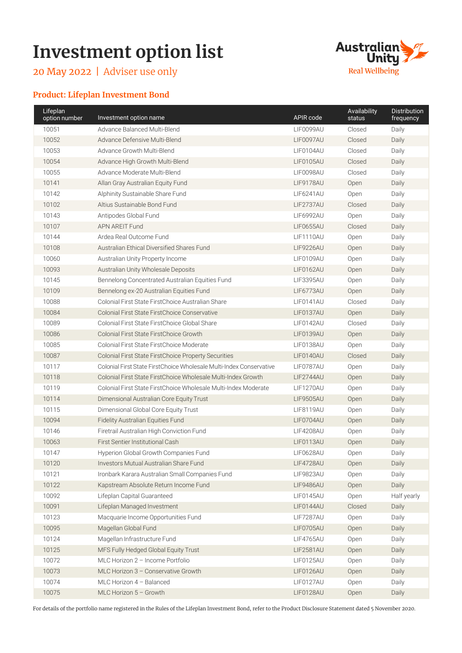# **Investment option list**

May 2022 | Adviser use only



## **Product: Lifeplan Investment Bond**

| Lifeplan<br>option number                         | Investment option name                                              | APIR code        | Availability<br>status | <b>Distribution</b><br>frequency |
|---------------------------------------------------|---------------------------------------------------------------------|------------------|------------------------|----------------------------------|
| 10051                                             | Advance Balanced Multi-Blend                                        | LIF0099AU        | Closed                 | Daily                            |
| 10052                                             | Advance Defensive Multi-Blend                                       | LIF0097AU        | Closed                 | Daily                            |
| 10053                                             | Advance Growth Multi-Blend                                          | LIF0104AU        | Closed                 | Daily                            |
| 10054                                             | Advance High Growth Multi-Blend                                     | LIF0105AU        | Closed                 | Daily                            |
| 10055                                             | Advance Moderate Multi-Blend                                        | LIF0098AU        | Closed                 | Daily                            |
| 10141                                             | Allan Gray Australian Equity Fund                                   | LIF9178AU        | Open                   | Daily                            |
| 10142                                             | Alphinity Sustainable Share Fund                                    | LIF6241AU        | Open                   | Daily                            |
| 10102                                             | Altius Sustainable Bond Fund                                        | <b>LIF2737AU</b> | Closed                 | Daily                            |
| 10143                                             | Antipodes Global Fund                                               | <b>LIF6992AU</b> | Open                   | Daily                            |
| 10107                                             | <b>APN AREIT Fund</b>                                               | <b>LIF0655AU</b> | Closed                 | Daily                            |
| 10144                                             | Ardea Real Outcome Fund                                             | LIF1110AU        | Open                   | Daily                            |
| 10108                                             | Australian Ethical Diversified Shares Fund                          | <b>LIF9226AU</b> | Open                   | Daily                            |
| 10060                                             | Australian Unity Property Income                                    | LIF0109AU        | Open                   | Daily                            |
| 10093                                             | Australian Unity Wholesale Deposits                                 | LIF0162AU        | Open                   | Daily                            |
| 10145                                             | Bennelong Concentrated Australian Equities Fund                     | <b>LIF3395AU</b> | Open                   | Daily                            |
| 10109                                             | Bennelong ex-20 Australian Equities Fund                            | LIF6773AU        | Open                   | Daily                            |
| 10088                                             | Colonial First State FirstChoice Australian Share                   | LIF0141AU        | Closed                 | Daily                            |
| 10084                                             | <b>Colonial First State First Choice Conservative</b>               | LIF0137AU        | Open                   | Daily                            |
| 10089                                             | Colonial First State FirstChoice Global Share                       | LIF0142AU        | Closed                 | Daily                            |
| 10086                                             | Colonial First State FirstChoice Growth                             | LIF0139AU        | Open                   | Daily                            |
| 10085                                             | Colonial First State FirstChoice Moderate                           | LIF0138AU        | Open                   | Daily                            |
| 10087                                             | Colonial First State FirstChoice Property Securities                | LIF0140AU        | Closed                 | Daily                            |
| 10117                                             | Colonial First State FirstChoice Wholesale Multi-Index Conservative | LIF0787AU        | Open                   | Daily                            |
| 10118                                             | Colonial First State FirstChoice Wholesale Multi-Index Growth       | LIF2744AU        | Open                   | Daily                            |
| 10119                                             | Colonial First State FirstChoice Wholesale Multi-Index Moderate     | LIF1270AU        | Open                   | Daily                            |
| 10114<br>Dimensional Australian Core Equity Trust |                                                                     | <b>LIF9505AU</b> | Open                   | Daily                            |
| 10115                                             | Dimensional Global Core Equity Trust                                |                  | Open                   | Daily                            |
| 10094                                             | <b>Fidelity Australian Equities Fund</b>                            | LIF0704AU        | Open                   | Daily                            |
| 10146                                             | Firetrail Australian High Conviction Fund                           | LIF4208AU        | Open                   | Daily                            |
| 10063                                             | First Sentier Institutional Cash                                    | LIF0113AU        | Open                   | Daily                            |
| 10147                                             | Hyperion Global Growth Companies Fund                               | LIF0628AU        | Open                   | Daily                            |
| 10120                                             | Investors Mutual Australian Share Fund                              | <b>LIF4728AU</b> | Open                   | Daily                            |
| 10121                                             | Ironbark Karara Australian Small Companies Fund                     | LIF9823AU        | Open                   | Daily                            |
| 10122                                             | Kapstream Absolute Return Income Fund                               | LIF9486AU        | Open                   | Daily                            |
| 10092                                             | Lifeplan Capital Guaranteed                                         | LIF0145AU        | Open                   | Half yearly                      |
| 10091                                             | Lifeplan Managed Investment                                         | LIF0144AU        | Closed                 | Daily                            |
| 10123                                             | Macquarie Income Opportunities Fund                                 | LIF7287AU        | Open                   | Daily                            |
| 10095                                             | Magellan Global Fund                                                | LIF0705AU        | Open                   | Daily                            |
| 10124                                             | Magellan Infrastructure Fund                                        | <b>LIF4765AU</b> | Open                   | Daily                            |
| 10125                                             | MFS Fully Hedged Global Equity Trust                                | <b>LIF2581AU</b> | Open                   | Daily                            |
| 10072                                             | MLC Horizon 2 - Income Portfolio                                    | LIF0125AU        | Open                   | Daily                            |
| 10073                                             | MLC Horizon 3 - Conservative Growth                                 | LIF0126AU        | Open                   | Daily                            |
| 10074                                             | MLC Horizon 4 - Balanced                                            | LIF0127AU        | Open                   | Daily                            |
| 10075                                             | MLC Horizon $5 -$ Growth                                            | LIF0128AU        | Open                   | Daily                            |

For details of the portfolio name registered in the Rules of the Lifeplan Investment Bond, refer to the Product Disclosure Statement dated 5 November 2020.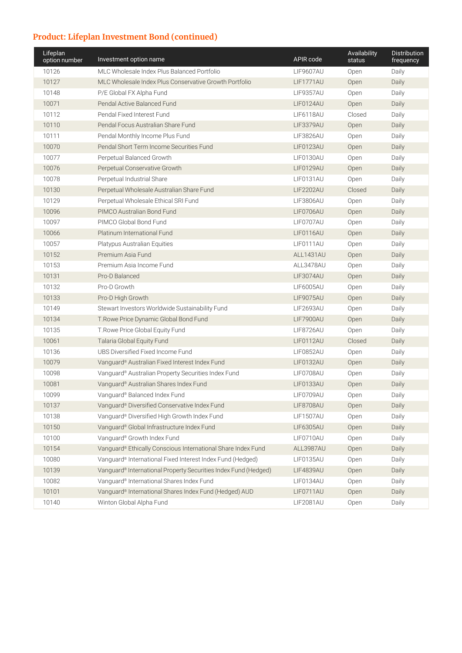# **Product: Lifeplan Investment Bond (continued)**

| Lifeplan<br>option number | Investment option name                                                                             | APIR code        | Availability<br>status | Distribution<br>frequency |
|---------------------------|----------------------------------------------------------------------------------------------------|------------------|------------------------|---------------------------|
| 10126                     | MLC Wholesale Index Plus Balanced Portfolio<br><b>LIF9607AU</b>                                    |                  | Open                   | Daily                     |
| 10127                     | MLC Wholesale Index Plus Conservative Growth Portfolio                                             | LIF1771AU        | Open                   | Daily                     |
| 10148                     | P/E Global FX Alpha Fund                                                                           | <b>LIF9357AU</b> | Open                   | Daily                     |
| 10071                     | Pendal Active Balanced Fund                                                                        | LIF0124AU        | Open                   | Daily                     |
| 10112                     | Pendal Fixed Interest Fund                                                                         | LIF6118AU        | Closed                 | Daily                     |
| 10110                     | Pendal Focus Australian Share Fund                                                                 | LIF3379AU        | Open                   | Daily                     |
| 10111                     | Pendal Monthly Income Plus Fund                                                                    | <b>LIF3826AU</b> | Open                   | Daily                     |
| 10070                     | Pendal Short Term Income Securities Fund                                                           | LIF0123AU        | Open                   | Daily                     |
| 10077                     | Perpetual Balanced Growth                                                                          | LIF0130AU        | Open                   | Daily                     |
| 10076                     | Perpetual Conservative Growth                                                                      | LIF0129AU        | Open                   | Daily                     |
| 10078                     | Perpetual Industrial Share                                                                         | LIF0131AU        | Open                   | Daily                     |
| 10130                     | Perpetual Wholesale Australian Share Fund                                                          | <b>LIF2202AU</b> | Closed                 | Daily                     |
| 10129                     | Perpetual Wholesale Ethical SRI Fund                                                               | <b>LIF3806AU</b> | Open                   | Daily                     |
| 10096                     | PIMCO Australian Bond Fund                                                                         | LIF0706AU        | Open                   | Daily                     |
| 10097                     | PIMCO Global Bond Fund                                                                             | LIF0707AU        | Open                   | Daily                     |
| 10066                     | Platinum International Fund                                                                        | LIF0116AU        | Open                   | Daily                     |
| 10057                     | Platypus Australian Equities                                                                       | LIF0111AU        | Open                   | Daily                     |
| 10152                     | Premium Asia Fund                                                                                  | ALL1431AU        | Open                   | Daily                     |
| 10153                     | Premium Asia Income Fund                                                                           | ALL3478AU        | Open                   | Daily                     |
| 10131                     | Pro-D Balanced                                                                                     | <b>LIF3074AU</b> | Open                   | Daily                     |
| 10132                     | Pro-D Growth                                                                                       | <b>LIF6005AU</b> | Open                   | Daily                     |
| 10133                     | Pro-D High Growth                                                                                  | <b>LIF9075AU</b> | Open                   | Daily                     |
| 10149                     | Stewart Investors Worldwide Sustainability Fund<br>10134<br>T. Rowe Price Dynamic Global Bond Fund |                  | Open                   | Daily                     |
|                           |                                                                                                    |                  | Open                   | Daily                     |
| 10135                     | T.Rowe Price Global Equity Fund                                                                    | LIF8726AU        | Open                   | Daily                     |
| 10061                     | Talaria Global Equity Fund                                                                         | LIF0112AU        | Closed                 | Daily                     |
| 10136                     | UBS Diversified Fixed Income Fund                                                                  | LIF0852AU        | Open                   | Daily                     |
| 10079                     | Vanguard® Australian Fixed Interest Index Fund                                                     | LIF0132AU        | Open                   | Daily                     |
| 10098                     | Vanguard® Australian Property Securities Index Fund                                                | LIF0708AU        | Open                   | Daily                     |
| 10081                     | Vanguard® Australian Shares Index Fund                                                             | LIF0133AU        | Open                   | Daily                     |
| 10099                     | Vanguard® Balanced Index Fund                                                                      | LIF0709AU        | Open                   | Daily                     |
| 10137                     | Vanguard® Diversified Conservative Index Fund                                                      | LIF8708AU        | Open                   | Daily                     |
| 10138                     | Vanguard® Diversified High Growth Index Fund                                                       | LIF1507AU        | Open                   | Daily                     |
| 10150                     | Vanguard® Global Infrastructure Index Fund                                                         | <b>LIF6305AU</b> | Open                   | Daily                     |
| 10100                     | Vanguard® Growth Index Fund                                                                        | LIF0710AU        | Open                   | Daily                     |
| 10154                     | Vanguard® Ethically Conscious International Share Index Fund                                       | ALL3987AU        | Open                   | Daily                     |
| 10080                     | Vanguard® International Fixed Interest Index Fund (Hedged)                                         | LIF0135AU        | Open                   | Daily                     |
| 10139                     | Vanguard® International Property Securities Index Fund (Hedged)                                    | LIF4839AU        | Open                   | Daily                     |
| 10082                     | Vanguard® International Shares Index Fund                                                          | LIF0134AU        | Open                   | Daily                     |
| 10101                     | Vanguard® International Shares Index Fund (Hedged) AUD                                             | LIF0711AU        | Open                   | Daily                     |
| 10140                     | Winton Global Alpha Fund                                                                           | LIF2081AU        | Open                   | Daily                     |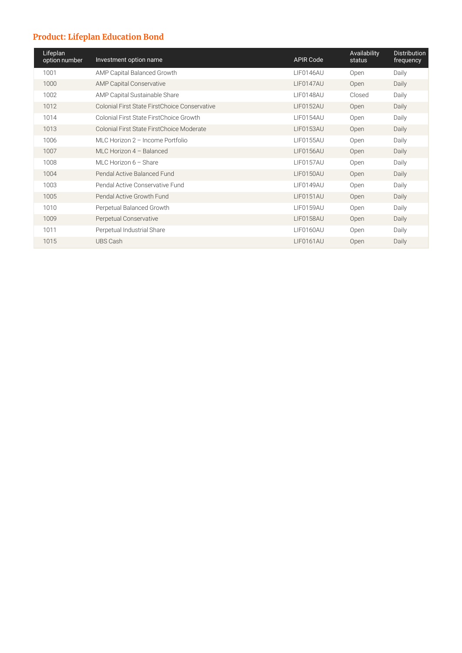# **Product: Lifeplan Education Bond**

| Lifeplan<br>option number | Investment option name                         | <b>APIR Code</b> | Availability<br>status | <b>Distribution</b><br>frequency |
|---------------------------|------------------------------------------------|------------------|------------------------|----------------------------------|
| 1001                      | AMP Capital Balanced Growth                    | LIF0146AU        | <b>Open</b>            | Daily                            |
| 1000                      | <b>AMP Capital Conservative</b>                | LIF0147AU        | Open                   | Daily                            |
| 1002                      | AMP Capital Sustainable Share                  | LIF0148AU        | Closed                 | Daily                            |
| 1012                      | Colonial First State First Choice Conservative | <b>LIF0152AU</b> | Open                   | Daily                            |
| 1014                      | Colonial First State FirstChoice Growth        | LIF0154AU        | Open                   | Daily                            |
| 1013                      | Colonial First State First Choice Moderate     | LIF0153AU        | Open                   | Daily                            |
| 1006                      | MLC Horizon 2 - Income Portfolio               | <b>LIF0155AU</b> | Open                   | Daily                            |
| 1007                      | MLC Horizon $4 -$ Balanced                     | <b>LIF0156AU</b> | Open                   | Daily                            |
| 1008                      | MLC Horizon $6 -$ Share                        | <b>LIF0157AU</b> | Open                   | Daily                            |
| 1004                      | Pendal Active Balanced Fund                    | LIF0150AU        | Open                   | Daily                            |
| 1003                      | Pendal Active Conservative Fund                | LIF0149AU        | <b>Open</b>            | Daily                            |
| 1005                      | Pendal Active Growth Fund                      | LIF0151AU        | Open                   | Daily                            |
| 1010                      | Perpetual Balanced Growth                      | <b>LIF0159AU</b> | Open                   | Daily                            |
| 1009                      | Perpetual Conservative                         | LIF0158AU        | Open                   | Daily                            |
| 1011                      | Perpetual Industrial Share                     | LIF0160AU        | Open                   | Daily                            |
| 1015                      | UBS Cash                                       | LIF0161AU        | Open                   | Daily                            |